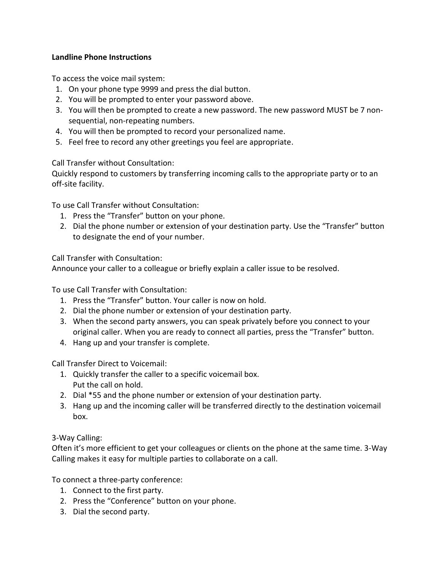## **Landline Phone Instructions**

To access the voice mail system:

- 1. On your phone type 9999 and press the dial button.
- 2. You will be prompted to enter your password above.
- 3. You will then be prompted to create a new password. The new password MUST be 7 nonsequential, non-repeating numbers.
- 4. You will then be prompted to record your personalized name.
- 5. Feel free to record any other greetings you feel are appropriate.

## Call Transfer without Consultation:

Quickly respond to customers by transferring incoming calls to the appropriate party or to an off-site facility.

To use Call Transfer without Consultation:

- 1. Press the "Transfer" button on your phone.
- 2. Dial the phone number or extension of your destination party. Use the "Transfer" button to designate the end of your number.

Call Transfer with Consultation:

Announce your caller to a colleague or briefly explain a caller issue to be resolved.

To use Call Transfer with Consultation:

- 1. Press the "Transfer" button. Your caller is now on hold.
- 2. Dial the phone number or extension of your destination party.
- 3. When the second party answers, you can speak privately before you connect to your original caller. When you are ready to connect all parties, press the "Transfer" button.
- 4. Hang up and your transfer is complete.

Call Transfer Direct to Voicemail:

- 1. Quickly transfer the caller to a specific voicemail box. Put the call on hold.
- 2. Dial \*55 and the phone number or extension of your destination party.
- 3. Hang up and the incoming caller will be transferred directly to the destination voicemail box.

## 3-Way Calling:

Often it's more efficient to get your colleagues or clients on the phone at the same time. 3-Way Calling makes it easy for multiple parties to collaborate on a call.

To connect a three-party conference:

- 1. Connect to the first party.
- 2. Press the "Conference" button on your phone.
- 3. Dial the second party.